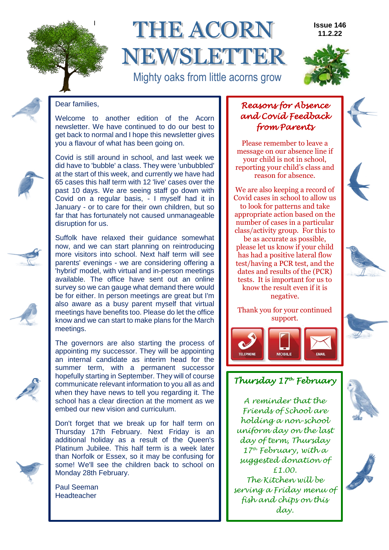

# **THE ACORN** NEWSLETE

Mighty oaks from little acorns grow

grower in the contract of the contract of the contract of the contract of the contract of the contract of the

#### **Issue 146 11.2.22**



Dear families,

Welcome to another edition of the Acorn newsletter. We have continued to do our best to get back to normal and I hope this newsletter gives you a flavour of what has been going on.

Covid is still around in school, and last week we did have to 'bubble' a class. They were 'unbubbled' at the start of this week, and currently we have had 65 cases this half term with 12 'live' cases over the past 10 days. We are seeing staff go down with Covid on a regular basis, - I myself had it in January - or to care for their own children, but so far that has fortunately not caused unmanageable disruption for us.

Suffolk have relaxed their guidance somewhat now, and we can start planning on reintroducing more visitors into school. Next half term will see parents' evenings - we are considering offering a 'hybrid' model, with virtual and in-person meetings available. The office have sent out an online survey so we can gauge what demand there would be for either. In person meetings are great but I'm also aware as a busy parent myself that virtual meetings have benefits too. Please do let the office know and we can start to make plans for the March meetings.

The governors are also starting the process of appointing my successor. They will be appointing an internal candidate as interim head for the summer term, with a permanent successor hopefully starting in September. They will of course communicate relevant information to you all as and when they have news to tell you regarding it. The school has a clear direction at the moment as we embed our new vision and curriculum.

Don't forget that we break up for half term on Thursday 17th February. Next Friday is an additional holiday as a result of the Queen's Platinum Jubilee. This half term is a week later than Norfolk or Essex, so it may be confusing for some! We'll see the children back to school on Monday 28th February.

Paul Seeman **Headteacher** 

### *Reasons for Absence and Covid Feedback from Parents*

Please remember to leave a message on our absence line if your child is not in school, reporting your child's class and reason for absence.

We are also keeping a record of Covid cases in school to allow us to look for patterns and take appropriate action based on the number of cases in a particular class/activity group. For this to

be as accurate as possible, please let us know if your child has had a positive lateral flow test/having a PCR test, and the dates and results of the (PCR) tests. It is important for us to know the result even if it is negative.

#### Thank you for your continued support.



### *Thursday 17th February*

*A reminder that the Friends of School are holding a non-school uniform day on the last day of term, Thursday 17th February, with a suggested donation of £1.00. The Kitchen will be serving a Friday menu of fish and chips on this day.*